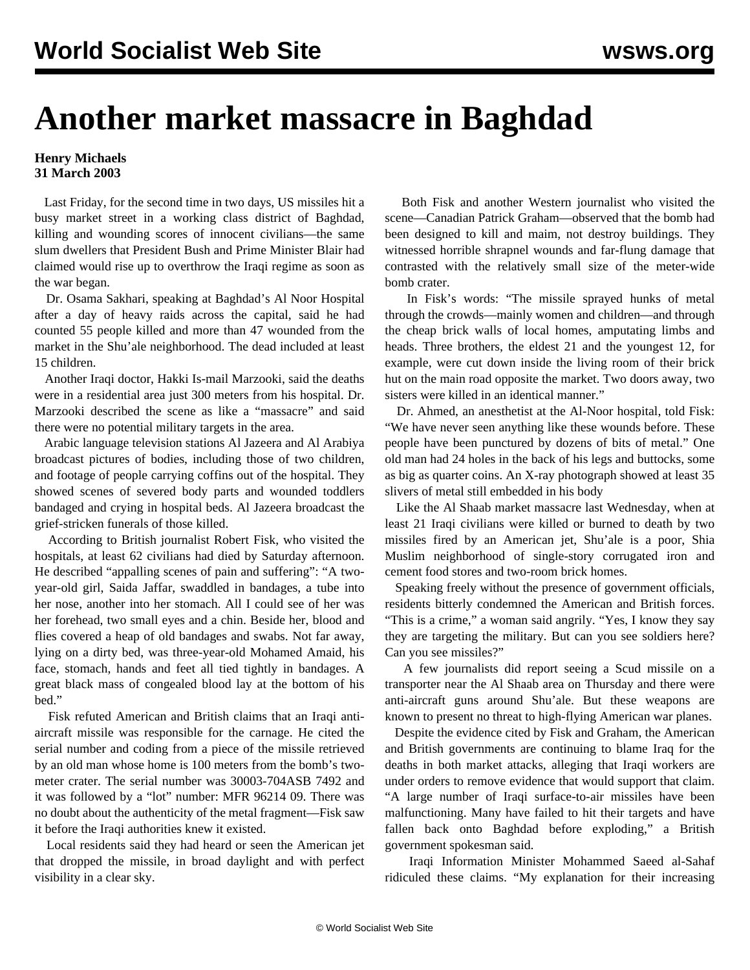## **Another market massacre in Baghdad**

## **Henry Michaels 31 March 2003**

 Last Friday, for the second time in two days, US missiles hit a busy market street in a working class district of Baghdad, killing and wounding scores of innocent civilians—the same slum dwellers that President Bush and Prime Minister Blair had claimed would rise up to overthrow the Iraqi regime as soon as the war began.

 Dr. Osama Sakhari, speaking at Baghdad's Al Noor Hospital after a day of heavy raids across the capital, said he had counted 55 people killed and more than 47 wounded from the market in the Shu'ale neighborhood. The dead included at least 15 children.

 Another Iraqi doctor, Hakki Is-mail Marzooki, said the deaths were in a residential area just 300 meters from his hospital. Dr. Marzooki described the scene as like a "massacre" and said there were no potential military targets in the area.

 Arabic language television stations Al Jazeera and Al Arabiya broadcast pictures of bodies, including those of two children, and footage of people carrying coffins out of the hospital. They showed scenes of severed body parts and wounded toddlers bandaged and crying in hospital beds. Al Jazeera broadcast the grief-stricken funerals of those killed.

 According to British journalist Robert Fisk, who visited the hospitals, at least 62 civilians had died by Saturday afternoon. He described "appalling scenes of pain and suffering": "A twoyear-old girl, Saida Jaffar, swaddled in bandages, a tube into her nose, another into her stomach. All I could see of her was her forehead, two small eyes and a chin. Beside her, blood and flies covered a heap of old bandages and swabs. Not far away, lying on a dirty bed, was three-year-old Mohamed Amaid, his face, stomach, hands and feet all tied tightly in bandages. A great black mass of congealed blood lay at the bottom of his bed."

 Fisk refuted American and British claims that an Iraqi antiaircraft missile was responsible for the carnage. He cited the serial number and coding from a piece of the missile retrieved by an old man whose home is 100 meters from the bomb's twometer crater. The serial number was 30003-704ASB 7492 and it was followed by a "lot" number: MFR 96214 09. There was no doubt about the authenticity of the metal fragment—Fisk saw it before the Iraqi authorities knew it existed.

 Local residents said they had heard or seen the American jet that dropped the missile, in broad daylight and with perfect visibility in a clear sky.

 Both Fisk and another Western journalist who visited the scene—Canadian Patrick Graham—observed that the bomb had been designed to kill and maim, not destroy buildings. They witnessed horrible shrapnel wounds and far-flung damage that contrasted with the relatively small size of the meter-wide bomb crater.

 In Fisk's words: "The missile sprayed hunks of metal through the crowds—mainly women and children—and through the cheap brick walls of local homes, amputating limbs and heads. Three brothers, the eldest 21 and the youngest 12, for example, were cut down inside the living room of their brick hut on the main road opposite the market. Two doors away, two sisters were killed in an identical manner."

 Dr. Ahmed, an anesthetist at the Al-Noor hospital, told Fisk: "We have never seen anything like these wounds before. These people have been punctured by dozens of bits of metal." One old man had 24 holes in the back of his legs and buttocks, some as big as quarter coins. An X-ray photograph showed at least 35 slivers of metal still embedded in his body

 Like the Al Shaab market massacre last Wednesday, when at least 21 Iraqi civilians were killed or burned to death by two missiles fired by an American jet, Shu'ale is a poor, Shia Muslim neighborhood of single-story corrugated iron and cement food stores and two-room brick homes.

 Speaking freely without the presence of government officials, residents bitterly condemned the American and British forces. "This is a crime," a woman said angrily. "Yes, I know they say they are targeting the military. But can you see soldiers here? Can you see missiles?"

 A few journalists did report seeing a Scud missile on a transporter near the Al Shaab area on Thursday and there were anti-aircraft guns around Shu'ale. But these weapons are known to present no threat to high-flying American war planes.

 Despite the evidence cited by Fisk and Graham, the American and British governments are continuing to blame Iraq for the deaths in both market attacks, alleging that Iraqi workers are under orders to remove evidence that would support that claim. "A large number of Iraqi surface-to-air missiles have been malfunctioning. Many have failed to hit their targets and have fallen back onto Baghdad before exploding," a British government spokesman said.

 Iraqi Information Minister Mohammed Saeed al-Sahaf ridiculed these claims. "My explanation for their increasing